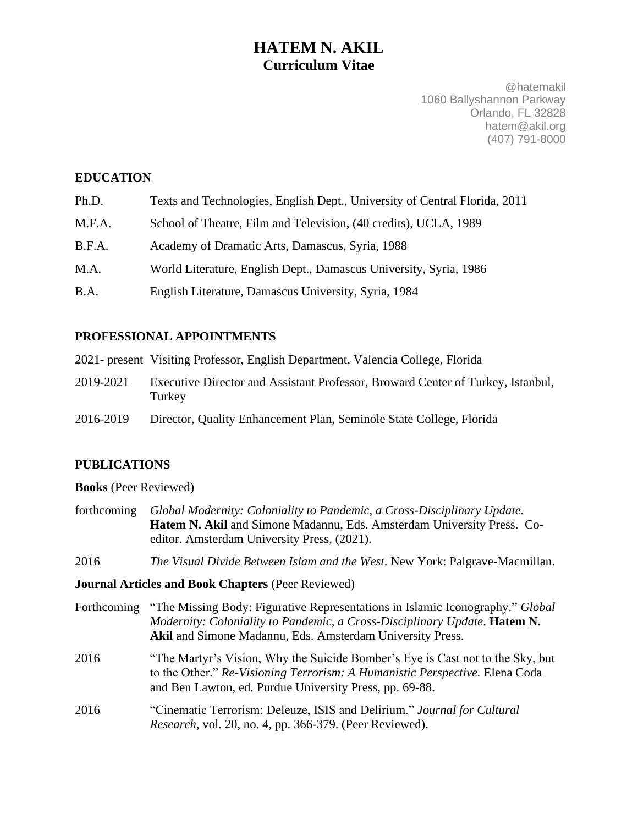# **HATEM N. AKIL Curriculum Vitae**

@hatemakil 1060 Ballyshannon Parkway Orlando, FL 32828 hatem@akil.org (407) 791-8000

# **EDUCATION**

| Ph.D. | Texts and Technologies, English Dept., University of Central Florida, 2011 |  |  |
|-------|----------------------------------------------------------------------------|--|--|
|       |                                                                            |  |  |

- M.F.A. School of Theatre, Film and Television, (40 credits), UCLA, 1989
- B.F.A. Academy of Dramatic Arts, Damascus, Syria, 1988
- M.A. World Literature, English Dept., Damascus University, Syria, 1986
- B.A. English Literature, Damascus University, Syria, 1984

# **PROFESSIONAL APPOINTMENTS**

2021- present Visiting Professor, English Department, Valencia College, Florida

- 2019-2021 Executive Director and Assistant Professor, Broward Center of Turkey, Istanbul, Turkey
- 2016-2019 Director, Quality Enhancement Plan, Seminole State College, Florida

# **PUBLICATIONS**

**Books** (Peer Reviewed)

- forthcoming *Global Modernity: Coloniality to Pandemic, a Cross-Disciplinary Update.*  **Hatem N. Akil** and Simone Madannu, Eds. Amsterdam University Press. Coeditor. Amsterdam University Press, (2021).
- 2016 *The Visual Divide Between Islam and the West*. New York: Palgrave-Macmillan.

### **Journal Articles and Book Chapters** (Peer Reviewed)

- Forthcoming "The Missing Body: Figurative Representations in Islamic Iconography." *Global Modernity: Coloniality to Pandemic, a Cross-Disciplinary Update*. **Hatem N. Akil** and Simone Madannu, Eds. Amsterdam University Press.
- 2016 "The Martyr's Vision, Why the Suicide Bomber's Eye is Cast not to the Sky, but to the Other." *Re-Visioning Terrorism: A Humanistic Perspective.* Elena Coda and Ben Lawton, ed. Purdue University Press, pp. 69-88.
- 2016 "Cinematic Terrorism: Deleuze, ISIS and Delirium." *Journal for Cultural Research*, vol. 20, no. 4, pp. 366-379. (Peer Reviewed).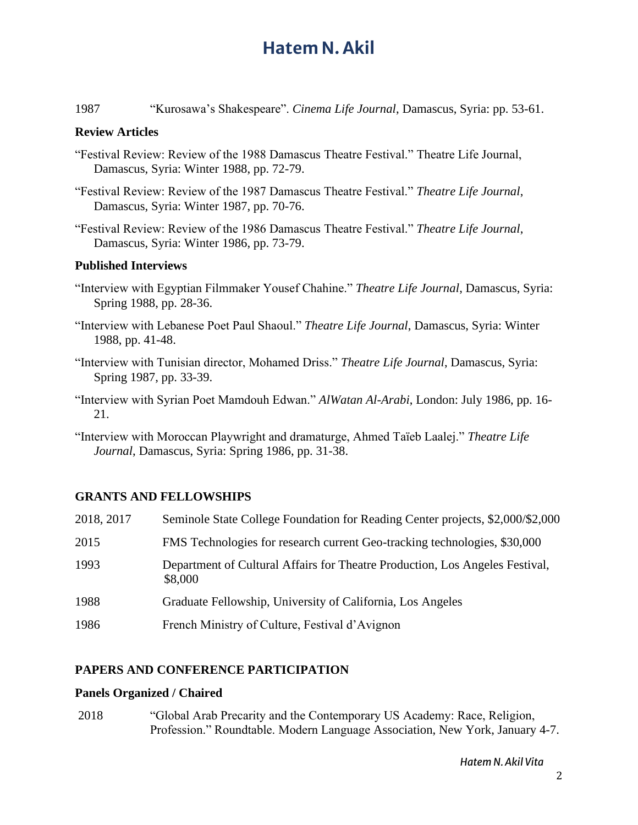1987 "Kurosawa's Shakespeare". *Cinema Life Journal*, Damascus, Syria: pp. 53-61.

### **Review Articles**

- "Festival Review: Review of the 1988 Damascus Theatre Festival." Theatre Life Journal, Damascus, Syria: Winter 1988, pp. 72-79.
- "Festival Review: Review of the 1987 Damascus Theatre Festival." *Theatre Life Journal*, Damascus, Syria: Winter 1987, pp. 70-76.
- "Festival Review: Review of the 1986 Damascus Theatre Festival." *Theatre Life Journal*, Damascus, Syria: Winter 1986, pp. 73-79.

#### **Published Interviews**

- "Interview with Egyptian Filmmaker Yousef Chahine." *Theatre Life Journal*, Damascus, Syria: Spring 1988, pp. 28-36.
- "Interview with Lebanese Poet Paul Shaoul." *Theatre Life Journal*, Damascus, Syria: Winter 1988, pp. 41-48.
- "Interview with Tunisian director, Mohamed Driss." *Theatre Life Journal*, Damascus, Syria: Spring 1987, pp. 33-39.
- "Interview with Syrian Poet Mamdouh Edwan." *AlWatan Al-Arabi*, London: July 1986, pp. 16- 21.

"Interview with Moroccan Playwright and dramaturge, Ahmed Taïeb Laalej." *Theatre Life Journal*, Damascus, Syria: Spring 1986, pp. 31-38.

### **GRANTS AND FELLOWSHIPS**

| 2018, 2017 | Seminole State College Foundation for Reading Center projects, \$2,000/\$2,000          |
|------------|-----------------------------------------------------------------------------------------|
| 2015       | FMS Technologies for research current Geo-tracking technologies, \$30,000               |
| 1993       | Department of Cultural Affairs for Theatre Production, Los Angeles Festival,<br>\$8,000 |
| 1988       | Graduate Fellowship, University of California, Los Angeles                              |
| 1986       | French Ministry of Culture, Festival d'Avignon                                          |

## **PAPERS AND CONFERENCE PARTICIPATION**

### **Panels Organized / Chaired**

2018 "Global Arab Precarity and the Contemporary US Academy: Race, Religion, Profession." Roundtable. Modern Language Association, New York, January 4-7.

*Hatem N. Akil Vita*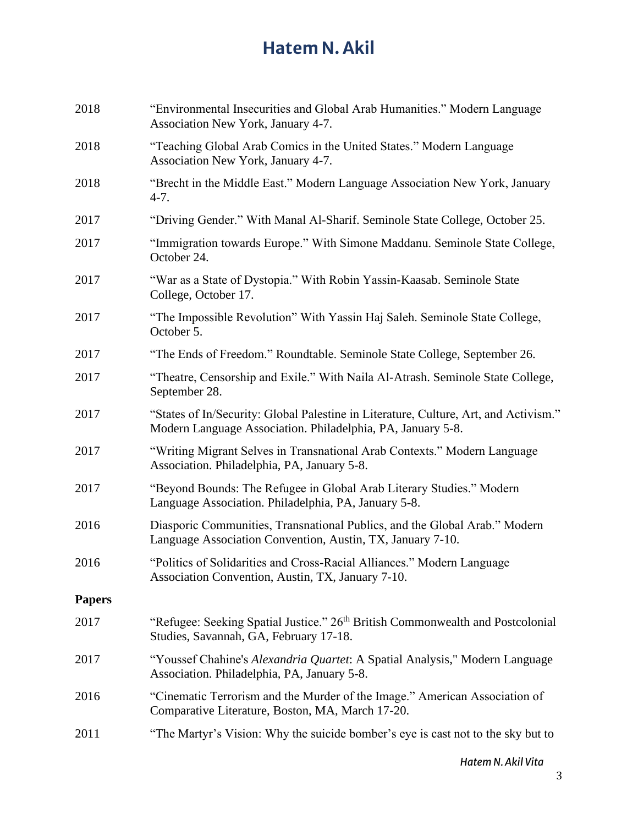| 2018          | "Environmental Insecurities and Global Arab Humanities." Modern Language<br>Association New York, January 4-7.                                      |
|---------------|-----------------------------------------------------------------------------------------------------------------------------------------------------|
| 2018          | "Teaching Global Arab Comics in the United States." Modern Language<br>Association New York, January 4-7.                                           |
| 2018          | "Brecht in the Middle East." Modern Language Association New York, January<br>$4-7.$                                                                |
| 2017          | "Driving Gender." With Manal Al-Sharif. Seminole State College, October 25.                                                                         |
| 2017          | "Immigration towards Europe." With Simone Maddanu. Seminole State College,<br>October 24.                                                           |
| 2017          | "War as a State of Dystopia." With Robin Yassin-Kaasab. Seminole State<br>College, October 17.                                                      |
| 2017          | "The Impossible Revolution" With Yassin Haj Saleh. Seminole State College,<br>October 5.                                                            |
| 2017          | "The Ends of Freedom." Roundtable. Seminole State College, September 26.                                                                            |
| 2017          | "Theatre, Censorship and Exile." With Naila Al-Atrash. Seminole State College,<br>September 28.                                                     |
| 2017          | "States of In/Security: Global Palestine in Literature, Culture, Art, and Activism."<br>Modern Language Association. Philadelphia, PA, January 5-8. |
| 2017          | "Writing Migrant Selves in Transnational Arab Contexts." Modern Language<br>Association. Philadelphia, PA, January 5-8.                             |
| 2017          | "Beyond Bounds: The Refugee in Global Arab Literary Studies." Modern<br>Language Association. Philadelphia, PA, January 5-8.                        |
| 2016          | Diasporic Communities, Transnational Publics, and the Global Arab." Modern<br>Language Association Convention, Austin, TX, January 7-10.            |
| 2016          | "Politics of Solidarities and Cross-Racial Alliances." Modern Language<br>Association Convention, Austin, TX, January 7-10.                         |
| <b>Papers</b> |                                                                                                                                                     |
| 2017          | "Refugee: Seeking Spatial Justice." 26 <sup>th</sup> British Commonwealth and Postcolonial<br>Studies, Savannah, GA, February 17-18.                |
| 2017          | "Youssef Chahine's Alexandria Quartet: A Spatial Analysis," Modern Language<br>Association. Philadelphia, PA, January 5-8.                          |
| 2016          | "Cinematic Terrorism and the Murder of the Image." American Association of<br>Comparative Literature, Boston, MA, March 17-20.                      |
| 2011          | "The Martyr's Vision: Why the suicide bomber's eye is cast not to the sky but to                                                                    |

*Hatem N. Akil Vita*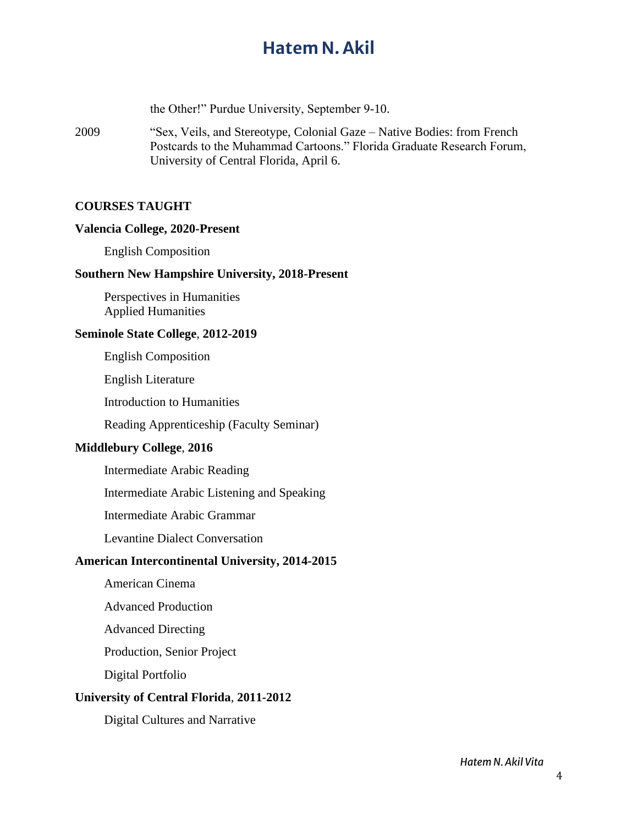the Other!" Purdue University, September 9-10.

2009 "Sex, Veils, and Stereotype, Colonial Gaze – Native Bodies: from French Postcards to the Muhammad Cartoons." Florida Graduate Research Forum, University of Central Florida, April 6.

### **COURSES TAUGHT**

#### **Valencia College, 2020-Present**

English Composition

#### **Southern New Hampshire University, 2018-Present**

Perspectives in Humanities Applied Humanities

### **Seminole State College**, **2012-2019**

English Composition

English Literature

Introduction to Humanities

Reading Apprenticeship (Faculty Seminar)

### **Middlebury College**, **2016**

Intermediate Arabic Reading

Intermediate Arabic Listening and Speaking

Intermediate Arabic Grammar

Levantine Dialect Conversation

### **American Intercontinental University, 2014-2015**

American Cinema

Advanced Production

Advanced Directing

Production, Senior Project

Digital Portfolio

#### **University of Central Florida**, **2011-2012**

Digital Cultures and Narrative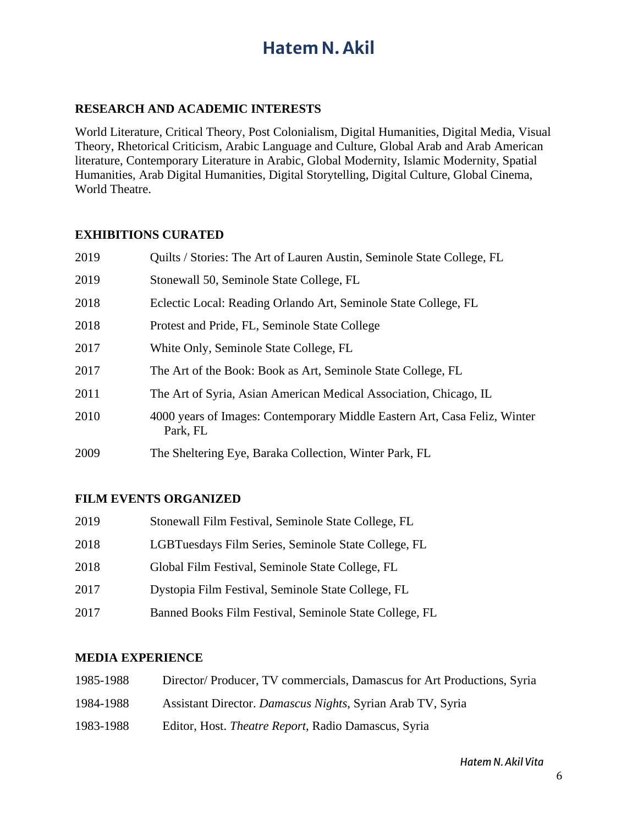## **RESEARCH AND ACADEMIC INTERESTS**

World Literature, Critical Theory, Post Colonialism, Digital Humanities, Digital Media, Visual Theory, Rhetorical Criticism, Arabic Language and Culture, Global Arab and Arab American literature, Contemporary Literature in Arabic, Global Modernity, Islamic Modernity, Spatial Humanities, Arab Digital Humanities, Digital Storytelling, Digital Culture, Global Cinema, World Theatre.

## **EXHIBITIONS CURATED**

| 2019 | Quilts / Stories: The Art of Lauren Austin, Seminole State College, FL                |
|------|---------------------------------------------------------------------------------------|
| 2019 | Stonewall 50, Seminole State College, FL                                              |
| 2018 | Eclectic Local: Reading Orlando Art, Seminole State College, FL                       |
| 2018 | Protest and Pride, FL, Seminole State College                                         |
| 2017 | White Only, Seminole State College, FL                                                |
| 2017 | The Art of the Book: Book as Art, Seminole State College, FL                          |
| 2011 | The Art of Syria, Asian American Medical Association, Chicago, IL                     |
| 2010 | 4000 years of Images: Contemporary Middle Eastern Art, Casa Feliz, Winter<br>Park, FL |
| 2009 | The Sheltering Eye, Baraka Collection, Winter Park, FL                                |

# **FILM EVENTS ORGANIZED**

| 2019 | Stonewall Film Festival, Seminole State College, FL    |
|------|--------------------------------------------------------|
| 2018 | LGBTuesdays Film Series, Seminole State College, FL    |
| 2018 | Global Film Festival, Seminole State College, FL       |
| 2017 | Dystopia Film Festival, Seminole State College, FL     |
| 2017 | Banned Books Film Festival, Seminole State College, FL |

### **MEDIA EXPERIENCE**

| 1985-1988 | Director/Producer, TV commercials, Damascus for Art Productions, Syria |
|-----------|------------------------------------------------------------------------|
| 1984-1988 | Assistant Director. Damascus Nights, Syrian Arab TV, Syria             |
| 1983-1988 | Editor, Host. <i>Theatre Report</i> , Radio Damascus, Syria            |

*Hatem N. Akil Vita*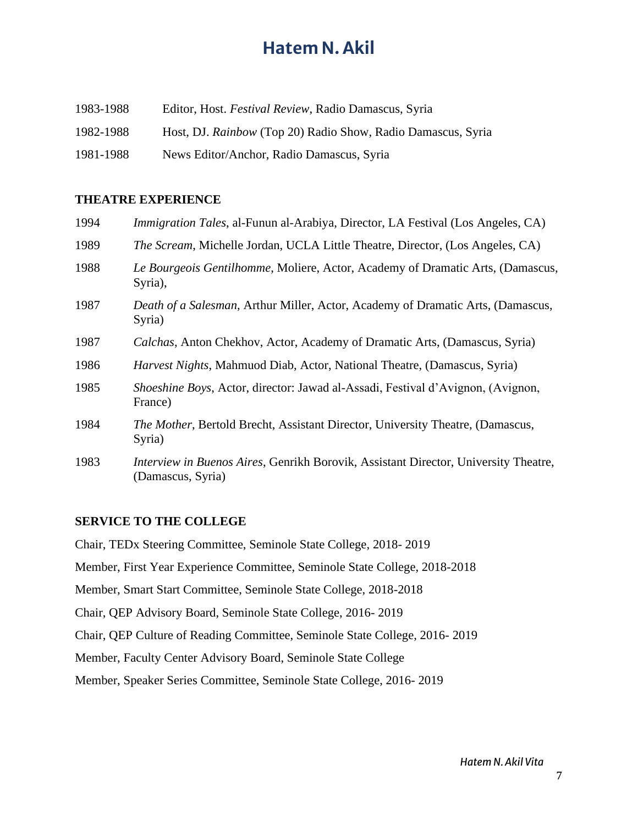| 1983-1988 | Editor, Host. <i>Festival Review</i> , Radio Damascus, Syria |
|-----------|--------------------------------------------------------------|
| 1982-1988 | Host, DJ. Rainbow (Top 20) Radio Show, Radio Damascus, Syria |
| 1981-1988 | News Editor/Anchor, Radio Damascus, Syria                    |

### **THEATRE EXPERIENCE**

| 1994 | <i>Immigration Tales, al-Funun al-Arabiya, Director, LA Festival (Los Angeles, CA)</i>                   |
|------|----------------------------------------------------------------------------------------------------------|
| 1989 | <i>The Scream</i> , Michelle Jordan, UCLA Little Theatre, Director, (Los Angeles, CA)                    |
| 1988 | Le Bourgeois Gentilhomme, Moliere, Actor, Academy of Dramatic Arts, (Damascus,<br>Syria),                |
| 1987 | Death of a Salesman, Arthur Miller, Actor, Academy of Dramatic Arts, (Damascus,<br>Syria)                |
| 1987 | Calchas, Anton Chekhov, Actor, Academy of Dramatic Arts, (Damascus, Syria)                               |
| 1986 | <i>Harvest Nights</i> , Mahmuod Diab, Actor, National Theatre, (Damascus, Syria)                         |
| 1985 | <i>Shoeshine Boys, Actor, director: Jawad al-Assadi, Festival d'Avignon, (Avignon, 1910)</i><br>France)  |
| 1984 | The Mother, Bertold Brecht, Assistant Director, University Theatre, (Damascus,<br>Syria)                 |
| 1983 | Interview in Buenos Aires, Genrikh Borovik, Assistant Director, University Theatre,<br>(Damascus, Syria) |

### **SERVICE TO THE COLLEGE**

Chair, TEDx Steering Committee, Seminole State College, 2018- 2019 Member, First Year Experience Committee, Seminole State College, 2018-2018 Member, Smart Start Committee, Seminole State College, 2018-2018 Chair, QEP Advisory Board, Seminole State College, 2016- 2019 Chair, QEP Culture of Reading Committee, Seminole State College, 2016- 2019 Member, Faculty Center Advisory Board, Seminole State College Member, Speaker Series Committee, Seminole State College, 2016- 2019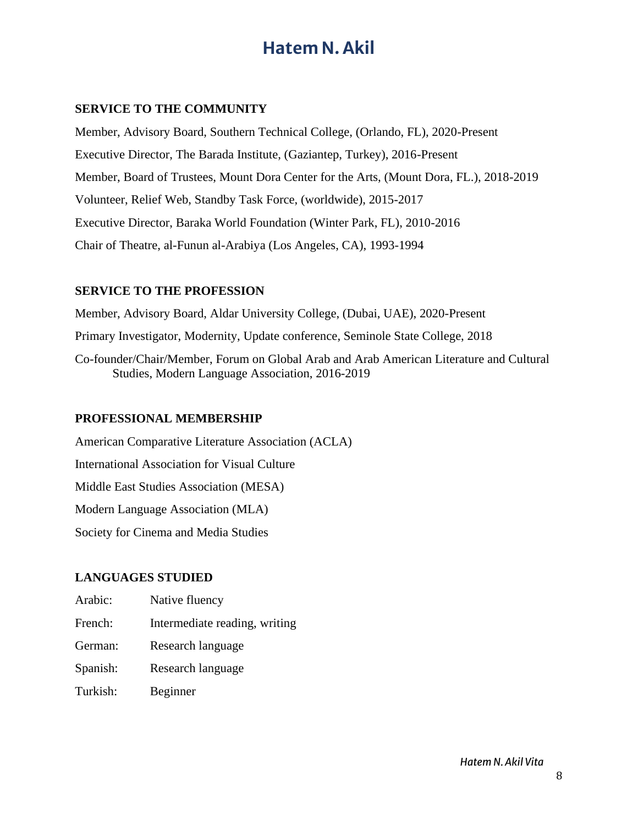# **SERVICE TO THE COMMUNITY**

Member, Advisory Board, Southern Technical College, (Orlando, FL), 2020-Present Executive Director, The Barada Institute, (Gaziantep, Turkey), 2016-Present Member, Board of Trustees, Mount Dora Center for the Arts, (Mount Dora, FL.), 2018-2019 Volunteer, Relief Web, Standby Task Force, (worldwide), 2015-2017 Executive Director, Baraka World Foundation (Winter Park, FL), 2010-2016 Chair of Theatre, al-Funun al-Arabiya (Los Angeles, CA), 1993-1994

## **SERVICE TO THE PROFESSION**

Member, Advisory Board, Aldar University College, (Dubai, UAE), 2020-Present

Primary Investigator, Modernity, Update conference, Seminole State College, 2018

Co-founder/Chair/Member, Forum on Global Arab and Arab American Literature and Cultural Studies, Modern Language Association, 2016-2019

### **PROFESSIONAL MEMBERSHIP**

American Comparative Literature Association (ACLA) International Association for Visual Culture Middle East Studies Association (MESA) Modern Language Association (MLA) Society for Cinema and Media Studies

# **LANGUAGES STUDIED**

- Arabic: Native fluency
- French: Intermediate reading, writing
- German: Research language
- Spanish: Research language
- Turkish: Beginner